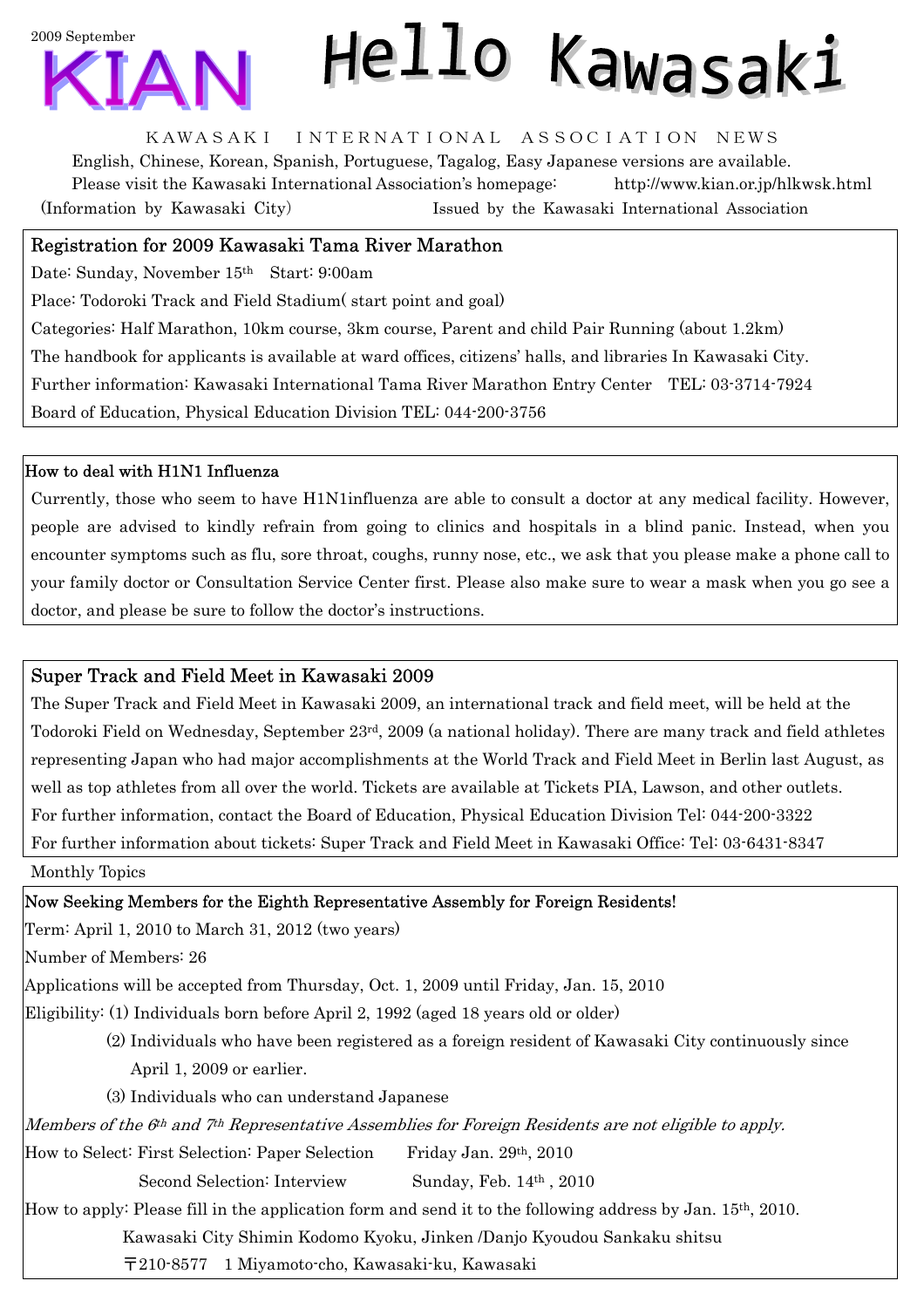

# Hello Kawasaki

KAWASAKI INTERNATIONAL ASSOCIATION NEWS

English, Chinese, Korean, Spanish, Portuguese, Tagalog, Easy Japanese versions are available. Please visit the Kawasaki International Association's homepage: http://www.kian.or.jp/hlkwsk.html (Information by Kawasaki City) Issued by the Kawasaki International Association

### Registration for 2009 Kawasaki Tama River Marathon

Date: Sunday, November 15th Start: 9:00am

Place: Todoroki Track and Field Stadium( start point and goal)

Categories: Half Marathon, 10km course, 3km course, Parent and child Pair Running (about 1.2km) The handbook for applicants is available at ward offices, citizens' halls, and libraries In Kawasaki City. Further information: Kawasaki International Tama River Marathon Entry Center TEL: 03-3714-7924 Board of Education, Physical Education Division TEL: 044-200-3756

#### How to deal with H1N1 Influenza

Currently, those who seem to have H1N1influenza are able to consult a doctor at any medical facility. However, people are advised to kindly refrain from going to clinics and hospitals in a blind panic. Instead, when you encounter symptoms such as flu, sore throat, coughs, runny nose, etc., we ask that you please make a phone call to your family doctor or Consultation Service Center first. Please also make sure to wear a mask when you go see a doctor, and please be sure to follow the doctor's instructions.

#### Super Track and Field Meet in Kawasaki 2009

The Super Track and Field Meet in Kawasaki 2009, an international track and field meet, will be held at the Todoroki Field on Wednesday, September 23rd, 2009 (a national holiday). There are many track and field athletes representing Japan who had major accomplishments at the World Track and Field Meet in Berlin last August, as well as top athletes from all over the world. Tickets are available at Tickets PIA, Lawson, and other outlets. For further information, contact the Board of Education, Physical Education Division Tel: 044-200-3322 For further information about tickets: Super Track and Field Meet in Kawasaki Office: Tel: 03-6431-8347

Monthly Topics

Now Seeking Members for the Eighth Representative Assembly for Foreign Residents!

Term: April 1, 2010 to March 31, 2012 (two years)

Number of Members: 26

Applications will be accepted from Thursday, Oct. 1, 2009 until Friday, Jan. 15, 2010

Eligibility: (1) Individuals born before April 2, 1992 (aged 18 years old or older)

- (2) Individuals who have been registered as a foreign resident of Kawasaki City continuously since April 1, 2009 or earlier.
- (3) Individuals who can understand Japanese

Members of the  $6th$  and  $7th$  Representative Assemblies for Foreign Residents are not eligible to apply.

How to Select: First Selection: Paper Selection Friday Jan. 29th, 2010

Second Selection: Interview Sunday, Feb. 14<sup>th</sup>, 2010

How to apply: Please fill in the application form and send it to the following address by Jan. 15th, 2010.

Kawasaki City Shimin Kodomo Kyoku, Jinken /Danjo Kyoudou Sankaku shitsu

〒210-8577 1 Miyamoto-cho, Kawasaki-ku, Kawasaki